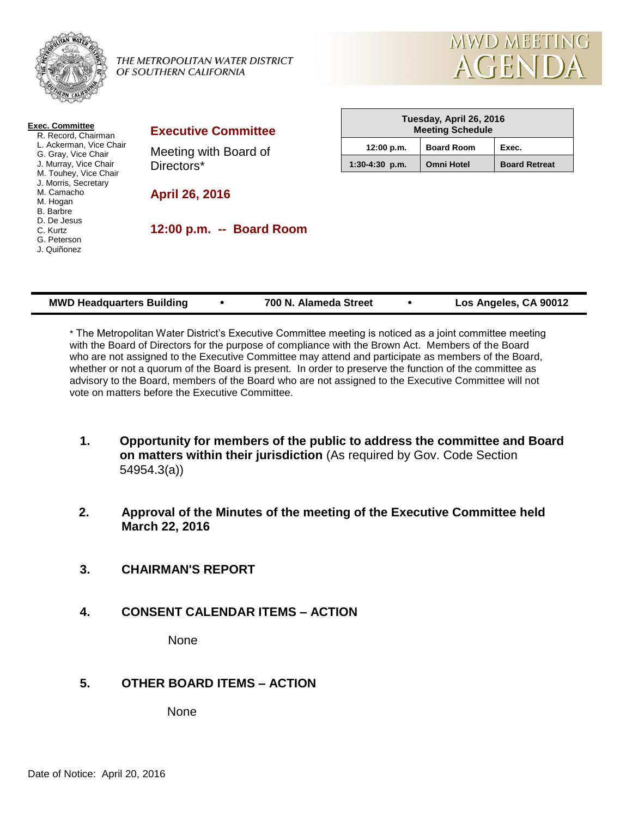

#### THE METROPOLITAN WATER DISTRICT OF SOUTHERN CALIFORNIA



| <b>Exec. Committee</b>                                                                                                                                                                | Executive                                     |
|---------------------------------------------------------------------------------------------------------------------------------------------------------------------------------------|-----------------------------------------------|
| R. Record. Chairman                                                                                                                                                                   |                                               |
| L. Ackerman, Vice Chair<br>G. Gray, Vice Chair<br>J. Murray, Vice Chair<br>M. Touhey, Vice Chair<br>J. Morris, Secretary<br>M. Camacho<br>M. Hogan<br><b>B.</b> Barbre<br>D. De Jesus | Meeting w<br>Directors*<br><b>April 26, 2</b> |
| C. Kurtz<br>G. Peterson<br>J. Quiñonez                                                                                                                                                | 12:00 p.m                                     |

### **e Committee**

with Board of

**April 26, 2016**

**12:00 p.m. -- Board Room**

| Tuesday, April 26, 2016<br><b>Meeting Schedule</b> |                   |                      |  |  |
|----------------------------------------------------|-------------------|----------------------|--|--|
| 12:00 p.m.                                         | <b>Board Room</b> | Exec.                |  |  |
| $1:30-4:30$ p.m.                                   | <b>Omni Hotel</b> | <b>Board Retreat</b> |  |  |

| <b>MWD Headquarters Building</b> |  | 700 N. Alameda Street |  | Los Angeles, CA 90012 |
|----------------------------------|--|-----------------------|--|-----------------------|
|----------------------------------|--|-----------------------|--|-----------------------|

\* The Metropolitan Water District's Executive Committee meeting is noticed as a joint committee meeting with the Board of Directors for the purpose of compliance with the Brown Act. Members of the Board who are not assigned to the Executive Committee may attend and participate as members of the Board, whether or not a quorum of the Board is present. In order to preserve the function of the committee as advisory to the Board, members of the Board who are not assigned to the Executive Committee will not vote on matters before the Executive Committee.

- **1. Opportunity for members of the public to address the committee and Board on matters within their jurisdiction** (As required by Gov. Code Section 54954.3(a))
- **2. Approval of the Minutes of the meeting of the Executive Committee held March 22, 2016**
- **3. CHAIRMAN'S REPORT**
- **4. CONSENT CALENDAR ITEMS – ACTION**

None

# **5. OTHER BOARD ITEMS – ACTION**

None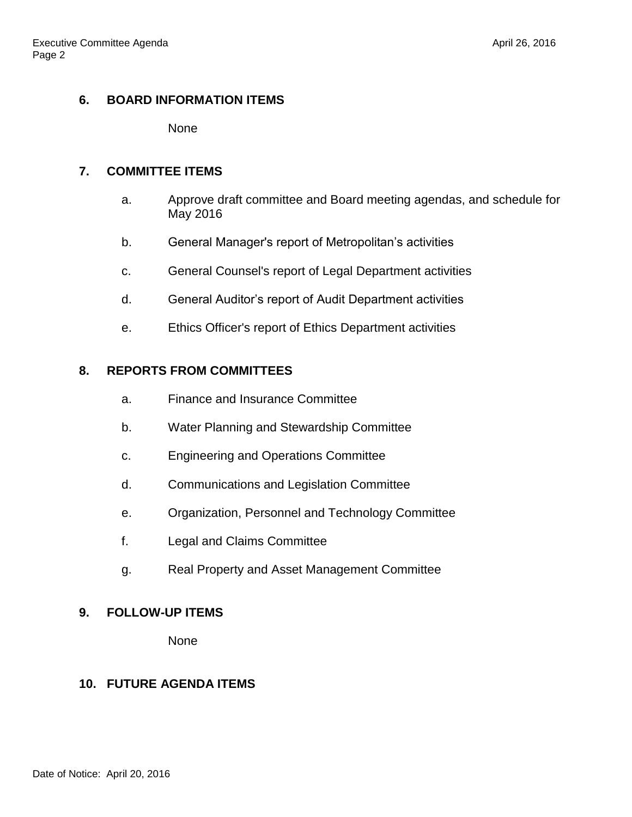## **6. BOARD INFORMATION ITEMS**

None

### **7. COMMITTEE ITEMS**

- a. Approve draft committee and Board meeting agendas, and schedule for May 2016
- b. General Manager's report of Metropolitan's activities
- c. General Counsel's report of Legal Department activities
- d. General Auditor's report of Audit Department activities
- e. Ethics Officer's report of Ethics Department activities

# **8. REPORTS FROM COMMITTEES**

- a. Finance and Insurance Committee
- b. Water Planning and Stewardship Committee
- c. Engineering and Operations Committee
- d. Communications and Legislation Committee
- e. Organization, Personnel and Technology Committee
- f. Legal and Claims Committee
- g. Real Property and Asset Management Committee

#### **9. FOLLOW-UP ITEMS**

None

# **10. FUTURE AGENDA ITEMS**